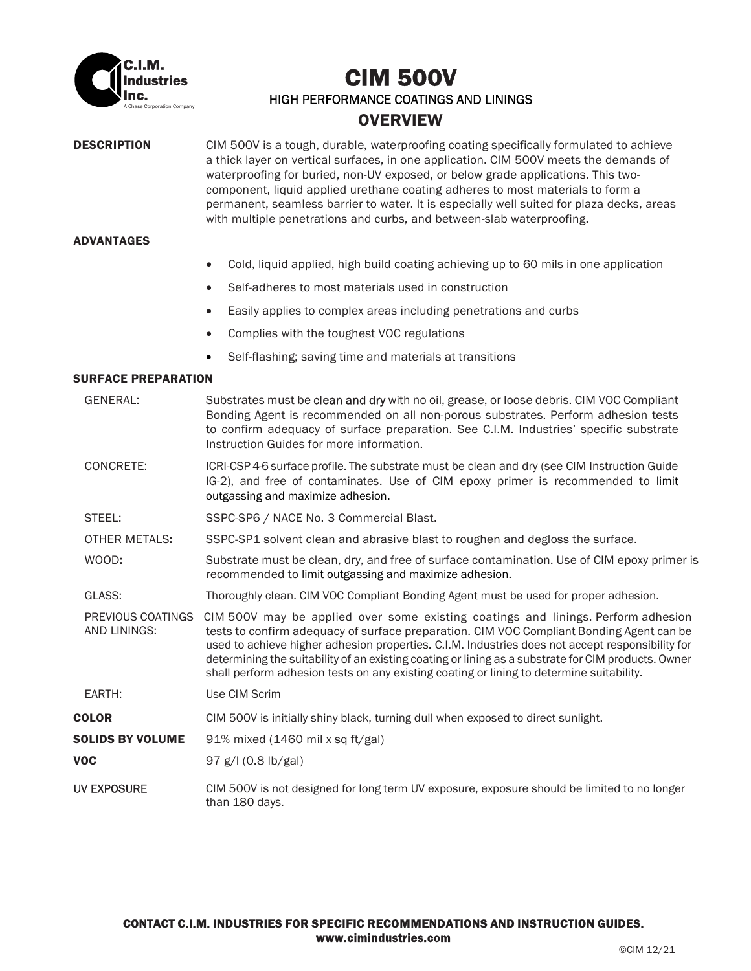

# A Chase Corporation Company CIM 500V HIGH PERFORMANCE COATINGS AND LININGS **OVERVIEW**

**DESCRIPTION** CIM 500V is a tough, durable, waterproofing coating specifically formulated to achieve a thick layer on vertical surfaces, in one application. CIM 500V meets the demands of waterproofing for buried, non-UV exposed, or below grade applications. This twocomponent, liquid applied urethane coating adheres to most materials to form a permanent, seamless barrier to water. It is especially well suited for plaza decks, areas with multiple penetrations and curbs, and between-slab waterproofing.

### ADVANTAGES

- Cold, liquid applied, high build coating achieving up to 60 mils in one application
- Self-adheres to most materials used in construction
- Easily applies to complex areas including penetrations and curbs
- Complies with the toughest VOC regulations
- Self-flashing; saving time and materials at transitions

### SURFACE PREPARATION

|                                         | <b>GENERAL:</b>                   | Substrates must be clean and dry with no oil, grease, or loose debris. CIM VOC Compliant<br>Bonding Agent is recommended on all non-porous substrates. Perform adhesion tests<br>to confirm adequacy of surface preparation. See C.I.M. Industries' specific substrate<br>Instruction Guides for more information.                                                                                                                                                                   |  |
|-----------------------------------------|-----------------------------------|--------------------------------------------------------------------------------------------------------------------------------------------------------------------------------------------------------------------------------------------------------------------------------------------------------------------------------------------------------------------------------------------------------------------------------------------------------------------------------------|--|
|                                         | CONCRETE:                         | ICRI-CSP 4-6 surface profile. The substrate must be clean and dry (see CIM Instruction Guide<br>IG-2), and free of contaminates. Use of CIM epoxy primer is recommended to limit<br>outgassing and maximize adhesion.                                                                                                                                                                                                                                                                |  |
|                                         | STEEL:                            | SSPC-SP6 / NACE No. 3 Commercial Blast.                                                                                                                                                                                                                                                                                                                                                                                                                                              |  |
|                                         | OTHER METALS:                     | SSPC-SP1 solvent clean and abrasive blast to roughen and degloss the surface.                                                                                                                                                                                                                                                                                                                                                                                                        |  |
|                                         | WOOD:                             | Substrate must be clean, dry, and free of surface contamination. Use of CIM epoxy primer is<br>recommended to limit outgassing and maximize adhesion.                                                                                                                                                                                                                                                                                                                                |  |
|                                         | GLASS:                            | Thoroughly clean. CIM VOC Compliant Bonding Agent must be used for proper adhesion.                                                                                                                                                                                                                                                                                                                                                                                                  |  |
|                                         | PREVIOUS COATINGS<br>AND LININGS: | CIM 500V may be applied over some existing coatings and linings. Perform adhesion<br>tests to confirm adequacy of surface preparation. CIM VOC Compliant Bonding Agent can be<br>used to achieve higher adhesion properties. C.I.M. Industries does not accept responsibility for<br>determining the suitability of an existing coating or lining as a substrate for CIM products. Owner<br>shall perform adhesion tests on any existing coating or lining to determine suitability. |  |
|                                         | EARTH:                            | Use CIM Scrim                                                                                                                                                                                                                                                                                                                                                                                                                                                                        |  |
| <b>COLOR</b><br><b>SOLIDS BY VOLUME</b> |                                   | CIM 500V is initially shiny black, turning dull when exposed to direct sunlight.                                                                                                                                                                                                                                                                                                                                                                                                     |  |
|                                         |                                   | 91% mixed $(1460 \text{ mil} x \text{ sq ft/gal})$                                                                                                                                                                                                                                                                                                                                                                                                                                   |  |
|                                         | <b>VOC</b>                        | 97 g/l (0.8 lb/gal)                                                                                                                                                                                                                                                                                                                                                                                                                                                                  |  |
|                                         | <b>UV EXPOSURE</b>                | CIM 500V is not designed for long term UV exposure, exposure should be limited to no longer<br>than 180 days.                                                                                                                                                                                                                                                                                                                                                                        |  |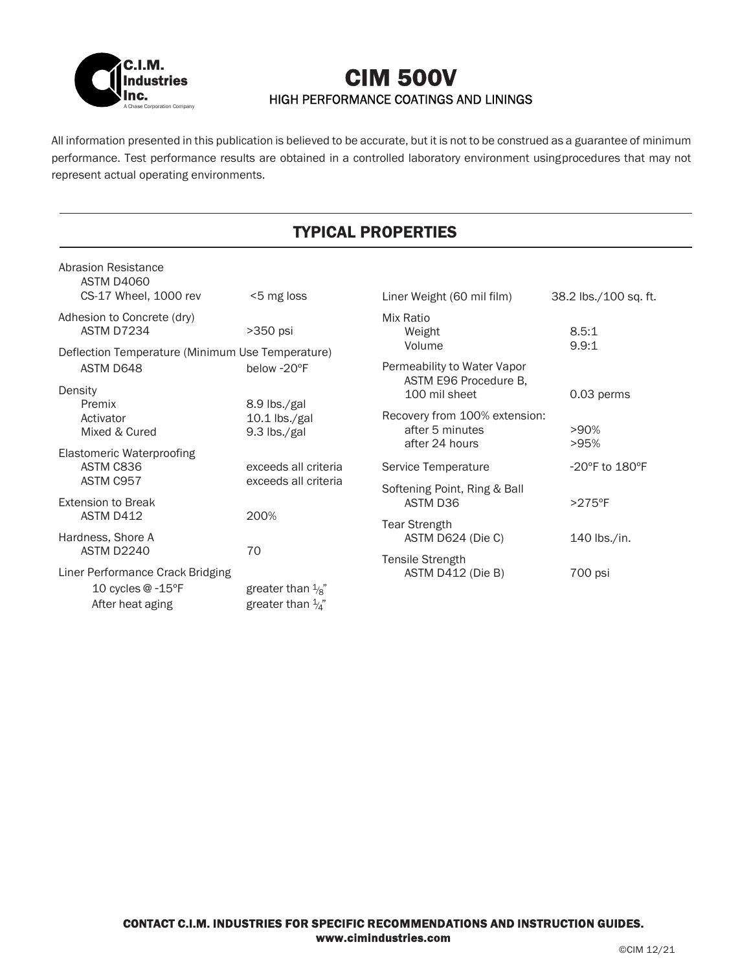

# A Chase Corporation Company CIM 500V HIGH PERFORMANCE COATINGS AND LININGS

All information presented in this publication is believed to be accurate, but it is not to be construed as a guarantee of minimum performance. Test performance results are obtained in a controlled laboratory environment using procedures that may not represent actual operating environments.

# TYPICAL PROPERTIES

| Abrasion Resistance<br>ASTM D4060                                   |                              |                                                      |                       |  |  |  |  |
|---------------------------------------------------------------------|------------------------------|------------------------------------------------------|-----------------------|--|--|--|--|
| CS-17 Wheel, 1000 rev                                               | <5 mg loss                   | Liner Weight (60 mil film)                           | 38.2 lbs./100 sq. ft. |  |  |  |  |
| Adhesion to Concrete (dry)                                          |                              | Mix Ratio                                            |                       |  |  |  |  |
| ASTM D7234                                                          | >350 psi                     | Weight                                               | 8.5:1                 |  |  |  |  |
| 9.9:1<br>Volume<br>Deflection Temperature (Minimum Use Temperature) |                              |                                                      |                       |  |  |  |  |
| ASTM D648                                                           | below -20°F                  | Permeability to Water Vapor<br>ASTM E96 Procedure B, |                       |  |  |  |  |
| Density                                                             |                              | 100 mil sheet                                        | 0.03 perms            |  |  |  |  |
| Premix                                                              | 8.9 lbs./gal                 |                                                      |                       |  |  |  |  |
| Activator                                                           | $10.1$ lbs./gal              | Recovery from 100% extension:<br>after 5 minutes     | >90%                  |  |  |  |  |
| Mixed & Cured                                                       | 9.3 lbs./gal                 | after 24 hours                                       | >95%                  |  |  |  |  |
| <b>Elastomeric Waterproofing</b>                                    |                              |                                                      |                       |  |  |  |  |
| ASTM C836                                                           | exceeds all criteria         | Service Temperature                                  | -20°F to 180°F        |  |  |  |  |
| ASTM C957                                                           | exceeds all criteria         | Softening Point, Ring & Ball                         |                       |  |  |  |  |
| <b>Extension to Break</b>                                           |                              | ASTM D36                                             | $>275$ °F             |  |  |  |  |
| ASTM D412                                                           | 200%                         |                                                      |                       |  |  |  |  |
| Hardness, Shore A                                                   |                              | <b>Tear Strength</b><br>ASTM D624 (Die C)            | 140 lbs./in.          |  |  |  |  |
| ASTM D2240                                                          | 70                           |                                                      |                       |  |  |  |  |
|                                                                     |                              | <b>Tensile Strength</b>                              |                       |  |  |  |  |
| Liner Performance Crack Bridging                                    |                              | ASTM D412 (Die B)                                    | 700 psi               |  |  |  |  |
| 10 cycles @ -15°F                                                   | greater than $\frac{1}{8}$ " |                                                      |                       |  |  |  |  |
| After heat aging                                                    | greater than $\frac{1}{4}$ " |                                                      |                       |  |  |  |  |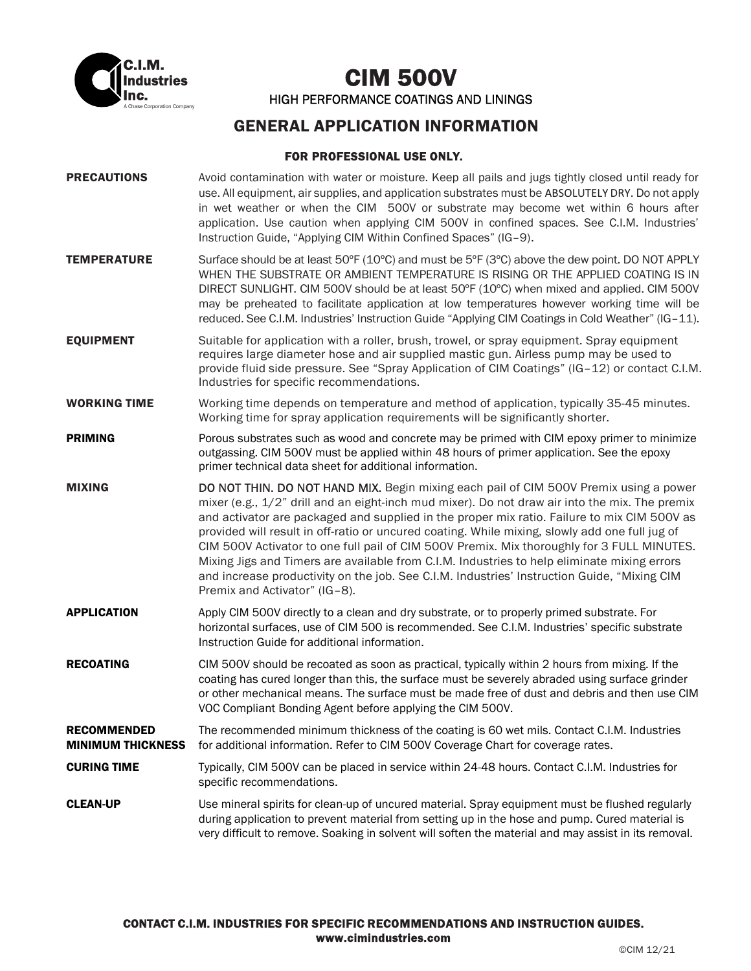

A Chase Corporation Company CIM 500V HIGH PERFORMANCE COATINGS AND LININGS

## GENERAL APPLICATION INFORMATION

## FOR PROFESSIONAL USE ONLY.

| <b>PRECAUTIONS</b>                             | Avoid contamination with water or moisture. Keep all pails and jugs tightly closed until ready for<br>use. All equipment, air supplies, and application substrates must be ABSOLUTELY DRY. Do not apply<br>in wet weather or when the CIM 500V or substrate may become wet within 6 hours after<br>application. Use caution when applying CIM 500V in confined spaces. See C.I.M. Industries'<br>Instruction Guide, "Applying CIM Within Confined Spaces" (IG-9).                                                                                                                                                                                                                                                     |
|------------------------------------------------|-----------------------------------------------------------------------------------------------------------------------------------------------------------------------------------------------------------------------------------------------------------------------------------------------------------------------------------------------------------------------------------------------------------------------------------------------------------------------------------------------------------------------------------------------------------------------------------------------------------------------------------------------------------------------------------------------------------------------|
| <b>TEMPERATURE</b>                             | Surface should be at least 50°F (10°C) and must be 5°F (3°C) above the dew point. DO NOT APPLY<br>WHEN THE SUBSTRATE OR AMBIENT TEMPERATURE IS RISING OR THE APPLIED COATING IS IN<br>DIRECT SUNLIGHT. CIM 500V should be at least 50°F (10°C) when mixed and applied. CIM 500V<br>may be preheated to facilitate application at low temperatures however working time will be<br>reduced. See C.I.M. Industries' Instruction Guide "Applying CIM Coatings in Cold Weather" (IG-11).                                                                                                                                                                                                                                  |
| <b>EQUIPMENT</b>                               | Suitable for application with a roller, brush, trowel, or spray equipment. Spray equipment<br>requires large diameter hose and air supplied mastic gun. Airless pump may be used to<br>provide fluid side pressure. See "Spray Application of CIM Coatings" (IG-12) or contact C.I.M.<br>Industries for specific recommendations.                                                                                                                                                                                                                                                                                                                                                                                     |
| <b>WORKING TIME</b>                            | Working time depends on temperature and method of application, typically 35-45 minutes.<br>Working time for spray application requirements will be significantly shorter.                                                                                                                                                                                                                                                                                                                                                                                                                                                                                                                                             |
| <b>PRIMING</b>                                 | Porous substrates such as wood and concrete may be primed with CIM epoxy primer to minimize<br>outgassing. CIM 500V must be applied within 48 hours of primer application. See the epoxy<br>primer technical data sheet for additional information.                                                                                                                                                                                                                                                                                                                                                                                                                                                                   |
| <b>MIXING</b>                                  | DO NOT THIN. DO NOT HAND MIX. Begin mixing each pail of CIM 500V Premix using a power<br>mixer (e.g., 1/2" drill and an eight-inch mud mixer). Do not draw air into the mix. The premix<br>and activator are packaged and supplied in the proper mix ratio. Failure to mix CIM 500V as<br>provided will result in off-ratio or uncured coating. While mixing, slowly add one full jug of<br>CIM 500V Activator to one full pail of CIM 500V Premix. Mix thoroughly for 3 FULL MINUTES.<br>Mixing Jigs and Timers are available from C.I.M. Industries to help eliminate mixing errors<br>and increase productivity on the job. See C.I.M. Industries' Instruction Guide, "Mixing CIM<br>Premix and Activator" (IG-8). |
| <b>APPLICATION</b>                             | Apply CIM 500V directly to a clean and dry substrate, or to properly primed substrate. For<br>horizontal surfaces, use of CIM 500 is recommended. See C.I.M. Industries' specific substrate<br>Instruction Guide for additional information.                                                                                                                                                                                                                                                                                                                                                                                                                                                                          |
| <b>RECOATING</b>                               | CIM 500V should be recoated as soon as practical, typically within 2 hours from mixing. If the<br>coating has cured longer than this, the surface must be severely abraded using surface grinder<br>or other mechanical means. The surface must be made free of dust and debris and then use CIM<br>VOC Compliant Bonding Agent before applying the CIM 500V.                                                                                                                                                                                                                                                                                                                                                         |
| <b>RECOMMENDED</b><br><b>MINIMUM THICKNESS</b> | The recommended minimum thickness of the coating is 60 wet mils. Contact C.I.M. Industries<br>for additional information. Refer to CIM 500V Coverage Chart for coverage rates.                                                                                                                                                                                                                                                                                                                                                                                                                                                                                                                                        |
| <b>CURING TIME</b>                             | Typically, CIM 500V can be placed in service within 24-48 hours. Contact C.I.M. Industries for<br>specific recommendations.                                                                                                                                                                                                                                                                                                                                                                                                                                                                                                                                                                                           |
| <b>CLEAN-UP</b>                                | Use mineral spirits for clean-up of uncured material. Spray equipment must be flushed regularly<br>during application to prevent material from setting up in the hose and pump. Cured material is<br>very difficult to remove. Soaking in solvent will soften the material and may assist in its removal.                                                                                                                                                                                                                                                                                                                                                                                                             |